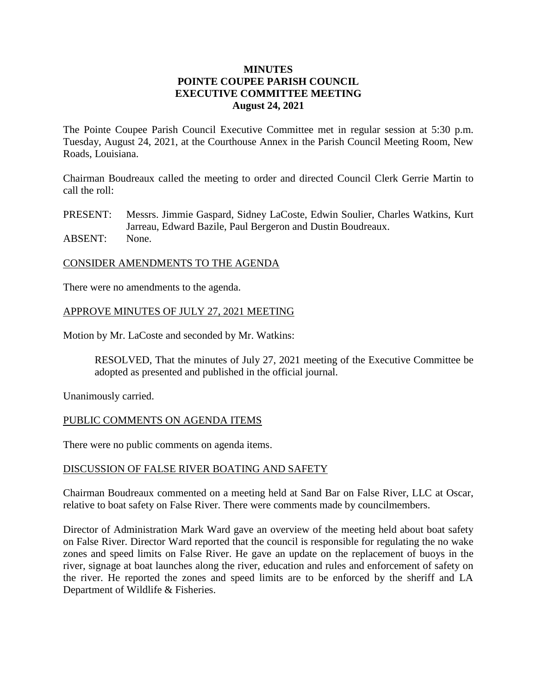## **MINUTES POINTE COUPEE PARISH COUNCIL EXECUTIVE COMMITTEE MEETING August 24, 2021**

The Pointe Coupee Parish Council Executive Committee met in regular session at 5:30 p.m. Tuesday, August 24, 2021, at the Courthouse Annex in the Parish Council Meeting Room, New Roads, Louisiana.

Chairman Boudreaux called the meeting to order and directed Council Clerk Gerrie Martin to call the roll:

PRESENT: Messrs. Jimmie Gaspard, Sidney LaCoste, Edwin Soulier, Charles Watkins, Kurt Jarreau, Edward Bazile, Paul Bergeron and Dustin Boudreaux. ABSENT: None.

### CONSIDER AMENDMENTS TO THE AGENDA

There were no amendments to the agenda.

### APPROVE MINUTES OF JULY 27, 2021 MEETING

Motion by Mr. LaCoste and seconded by Mr. Watkins:

RESOLVED, That the minutes of July 27, 2021 meeting of the Executive Committee be adopted as presented and published in the official journal.

Unanimously carried.

#### PUBLIC COMMENTS ON AGENDA ITEMS

There were no public comments on agenda items.

#### DISCUSSION OF FALSE RIVER BOATING AND SAFETY

Chairman Boudreaux commented on a meeting held at Sand Bar on False River, LLC at Oscar, relative to boat safety on False River. There were comments made by councilmembers.

Director of Administration Mark Ward gave an overview of the meeting held about boat safety on False River. Director Ward reported that the council is responsible for regulating the no wake zones and speed limits on False River. He gave an update on the replacement of buoys in the river, signage at boat launches along the river, education and rules and enforcement of safety on the river. He reported the zones and speed limits are to be enforced by the sheriff and LA Department of Wildlife & Fisheries.